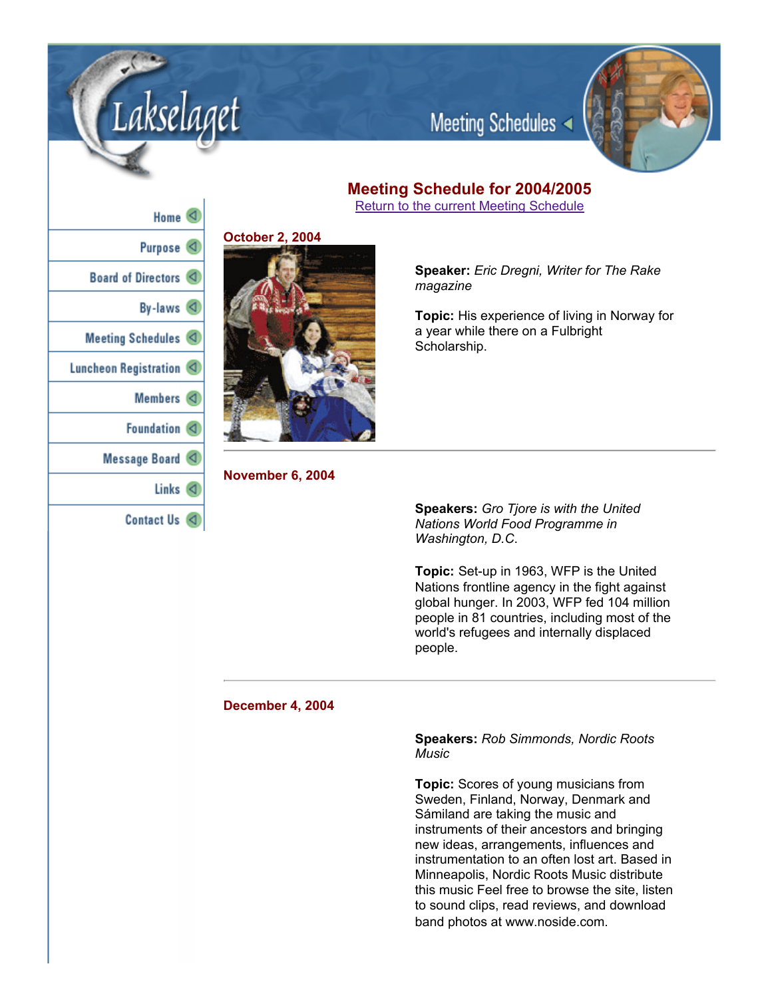

Meeting Schedules

# **Meeting Schedule for 2004/2005** Return to the current Meeting Schedule



akselaget

**October 2, 2004**



**November 6, 2004**

**Speaker:** *Eric Dregni, Writer for The Rake magazine*

**Topic:** His experience of living in Norway for a year while there on a Fulbright Scholarship.

**Speakers:** *Gro Tjore is with the United Nations World Food Programme in Washington, D.C*.

**Topic:** Set-up in 1963, WFP is the United Nations frontline agency in the fight against global hunger. In 2003, WFP fed 104 million people in 81 countries, including most of the world's refugees and internally displaced people.

# **December 4, 2004**

**Speakers:** *Rob Simmonds, Nordic Roots Music*

**Topic:** Scores of young musicians from Sweden, Finland, Norway, Denmark and Sámiland are taking the music and instruments of their ancestors and bringing new ideas, arrangements, influences and instrumentation to an often lost art. Based in Minneapolis, Nordic Roots Music distribute this music Feel free to browse the site, listen to sound clips, read reviews, and download band photos at www.noside.com.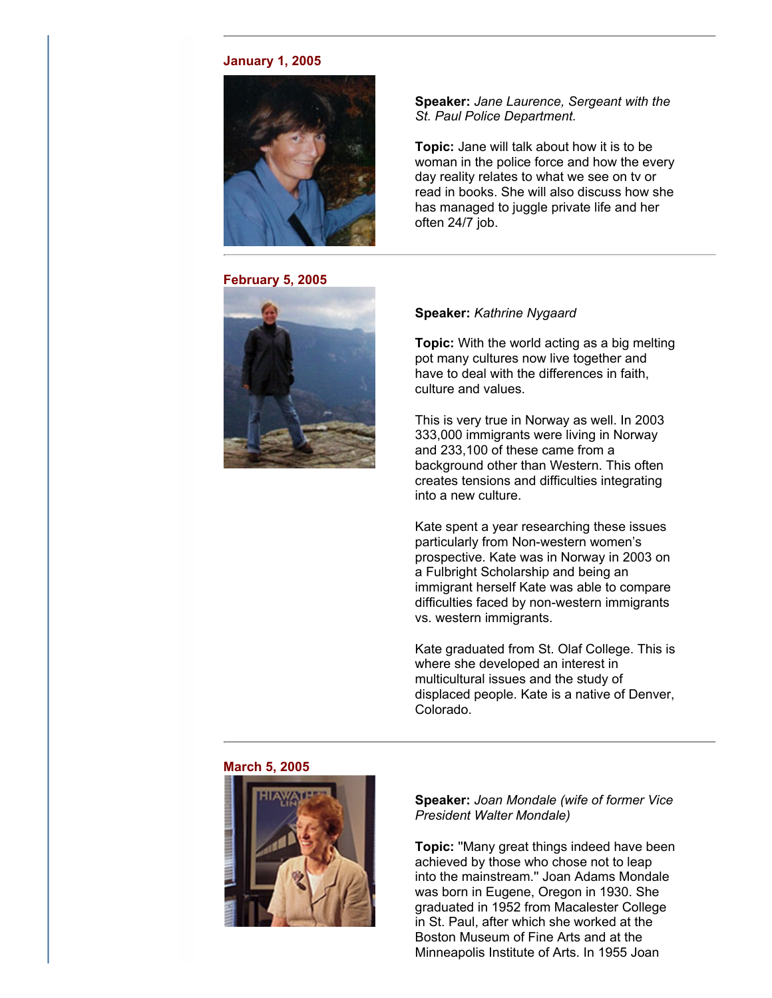### **January 1, 2005**



### **February 5, 2005**



**Speaker:** *Jane Laurence, Sergeant with the St. Paul Police Department.*

**Topic:** Jane will talk about how it is to be woman in the police force and how the every day reality relates to what we see on tv or read in books. She will also discuss how she has managed to juggle private life and her often 24/7 job.

#### **Speaker:** *Kathrine Nygaard*

**Topic:** With the world acting as a big melting pot many cultures now live together and have to deal with the differences in faith, culture and values.

This is very true in Norway as well. In 2003 333,000 immigrants were living in Norway and 233,100 of these came from a background other than Western. This often creates tensions and difficulties integrating into a new culture.

Kate spent a year researching these issues particularly from Non-western women's prospective. Kate was in Norway in 2003 on a Fulbright Scholarship and being an immigrant herself Kate was able to compare difficulties faced by non-western immigrants vs. western immigrants.

Kate graduated from St. Olaf College. This is where she developed an interest in multicultural issues and the study of displaced people. Kate is a native of Denver, Colorado.

#### **March 5, 2005**



**Speaker:** *Joan Mondale (wife of former Vice President Walter Mondale)*

**Topic:** ''Many great things indeed have been achieved by those who chose not to leap into the mainstream.'' Joan Adams Mondale was born in Eugene, Oregon in 1930. She graduated in 1952 from Macalester College in St. Paul, after which she worked at the Boston Museum of Fine Arts and at the Minneapolis Institute of Arts. In 1955 Joan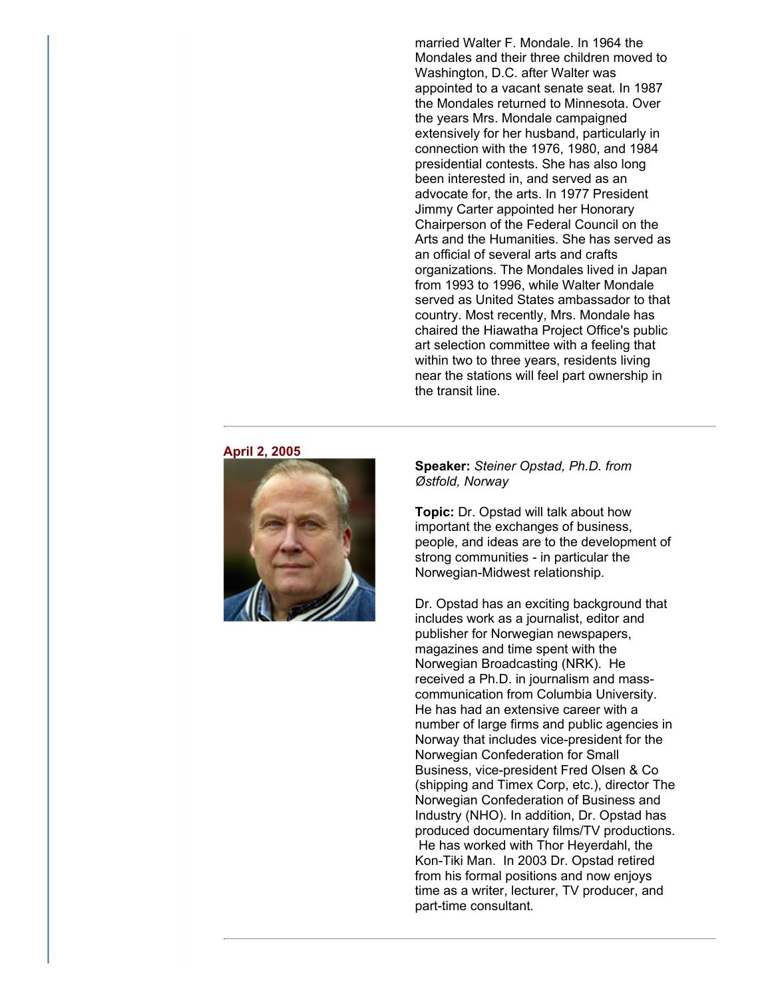married Walter F. Mondale. In 1964 the Mondales and their three children moved to Washington, D.C. after Walter was appointed to a vacant senate seat. In 1987 the Mondales returned to Minnesota. Over the years Mrs. Mondale campaigned extensively for her husband, particularly in connection with the 1976, 1980, and 1984 presidential contests. She has also long been interested in, and served as an advocate for, the arts. In 1977 President Jimmy Carter appointed her Honorary Chairperson of the Federal Council on the Arts and the Humanities. She has served as an official of several arts and crafts organizations. The Mondales lived in Japan from 1993 to 1996, while Walter Mondale served as United States ambassador to that country. Most recently, Mrs. Mondale has chaired the Hiawatha Project Office's public art selection committee with a feeling that within two to three years, residents living near the stations will feel part ownership in the transit line.

### **April 2, 2005**



**Speaker:** *Steiner Opstad, Ph.D. from Østfold, Norway*

**Topic:** Dr. Opstad will talk about how important the exchanges of business, people, and ideas are to the development of strong communities - in particular the Norwegian-Midwest relationship.

Dr. Opstad has an exciting background that includes work as a journalist, editor and publisher for Norwegian newspapers, magazines and time spent with the Norwegian Broadcasting (NRK). He received a Ph.D. in journalism and masscommunication from Columbia University. He has had an extensive career with a number of large firms and public agencies in Norway that includes vice-president for the Norwegian Confederation for Small Business, vice-president Fred Olsen & Co (shipping and Timex Corp, etc.), director The Norwegian Confederation of Business and Industry (NHO). In addition, Dr. Opstad has produced documentary films/TV productions. He has worked with Thor Heyerdahl, the Kon-Tiki Man. In 2003 Dr. Opstad retired from his formal positions and now enjoys time as a writer, lecturer, TV producer, and part-time consultant.